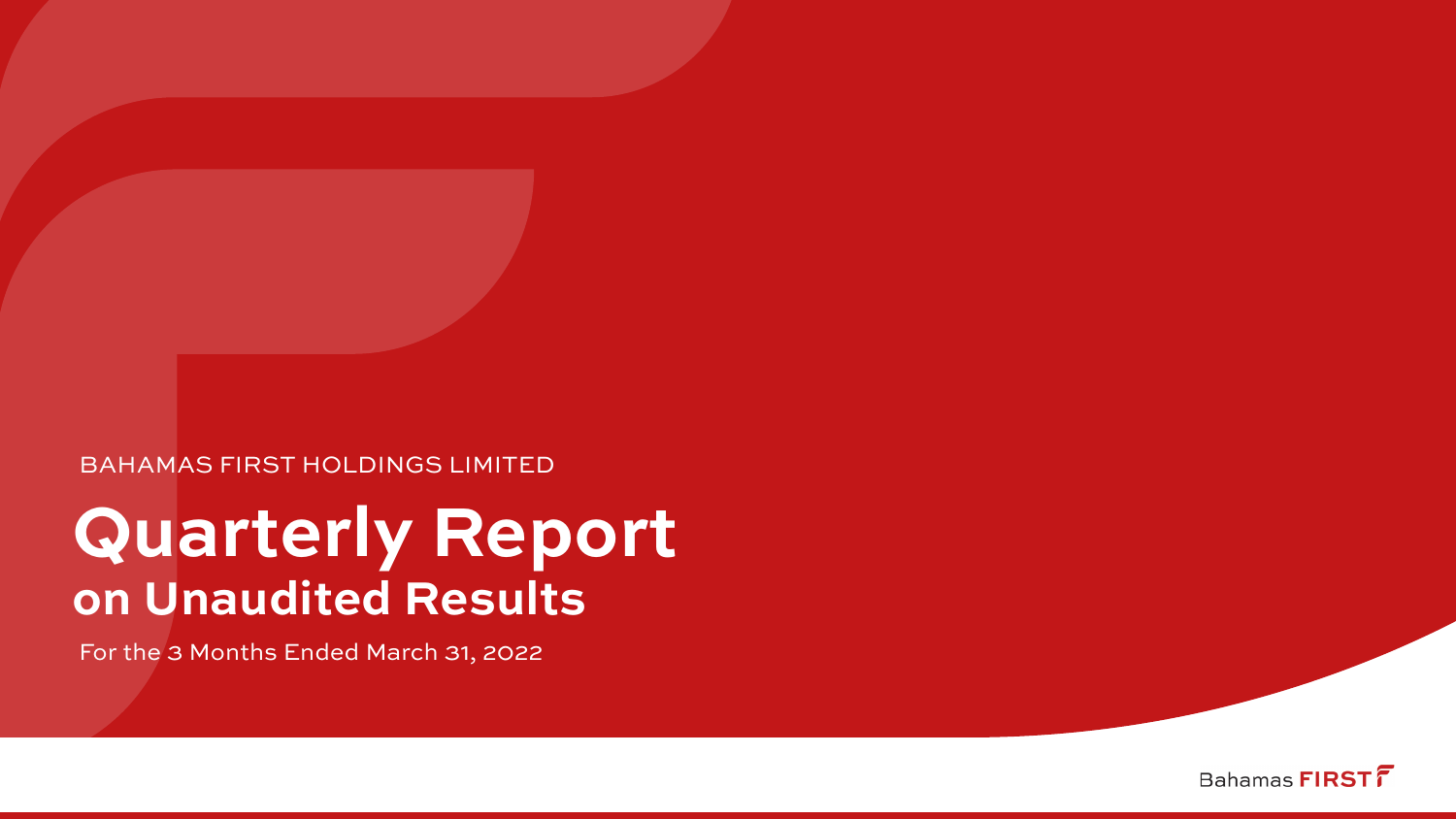### BAHAMAS FIRST HOLDINGS LIMITED

# **Quarterly Report on Unaudited Results**

For the 3 Months Ended March 31, 2022

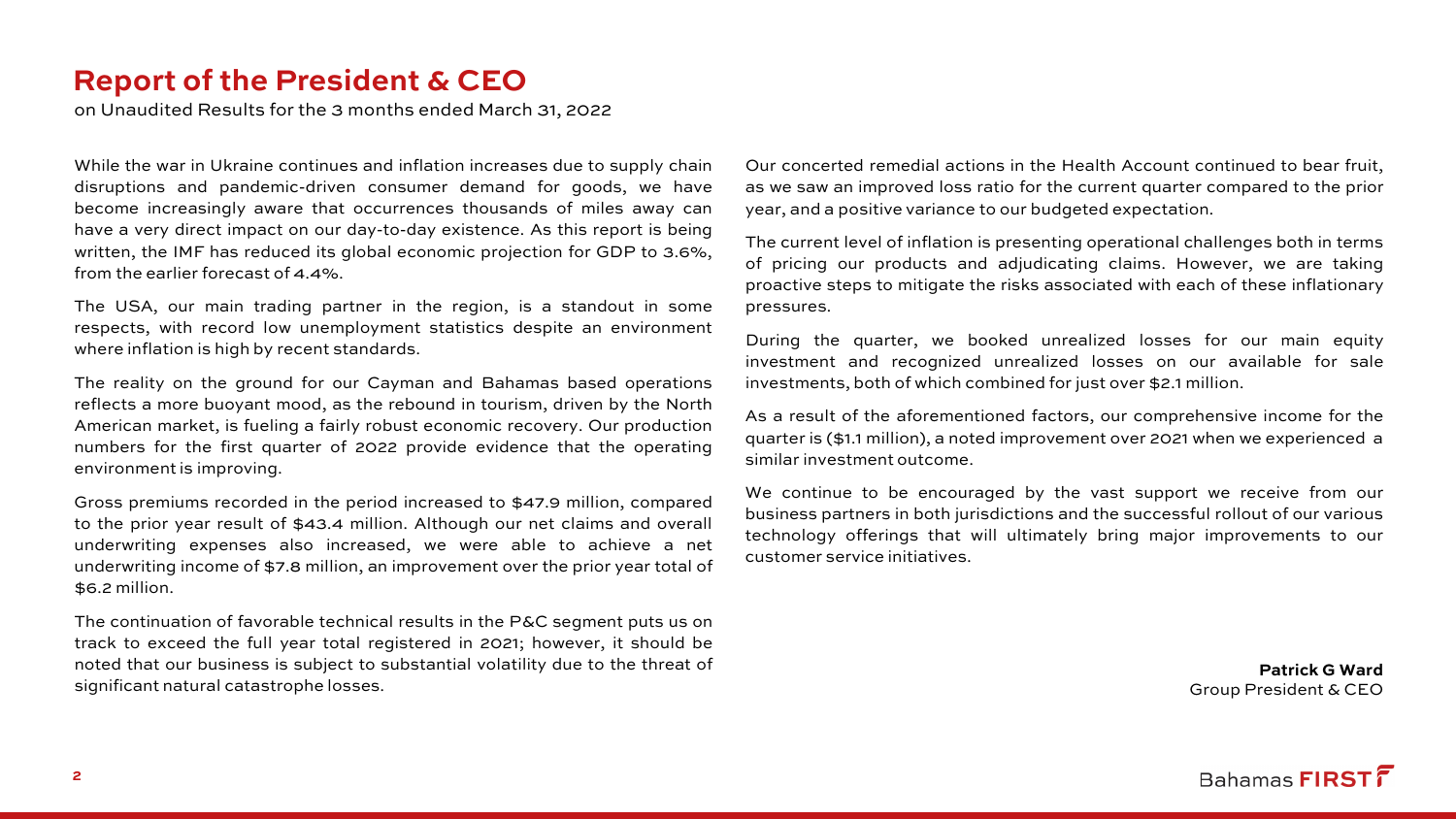### **Report of the President & CEO**

on Unaudited Results for the 3 months ended March 31, 2022

While the war in Ukraine continues and inflation increases due to supply chain disruptions and pandemic-driven consumer demand for goods, we have become increasingly aware that occurrences thousands of miles away can have a very direct impact on our day-to-day existence. As this report is being written, the IMF has reduced its global economic projection for GDP to 3.6%, from the earlier forecast of 4.4%.

The USA, our main trading partner in the region, is a standout in some respects, with record low unemployment statistics despite an environment where inflation is high by recent standards.

The reality on the ground for our Cayman and Bahamas based operations reflects a more buoyant mood, as the rebound in tourism, driven by the North American market, is fueling a fairly robust economic recovery. Our production numbers for the first quarter of 2022 provide evidence that the operating environment is improving.

Gross premiums recorded in the period increased to \$47.9 million, compared to the prior year result of \$43.4 million. Although our net claims and overall underwriting expenses also increased, we were able to achieve a net underwriting income of \$7.8 million, an improvement over the prior year total of \$6.2 million.

The continuation of favorable technical results in the P&C segment puts us on track to exceed the full year total registered in 2021; however, it should be noted that our business is subject to substantial volatility due to the threat of significant natural catastrophe losses.

Our concerted remedial actions in the Health Account continued to bear fruit, as we saw an improved loss ratio for the current quarter compared to the prior year, and a positive variance to our budgeted expectation.

The current level of inflation is presenting operational challenges both in terms of pricing our products and adjudicating claims. However, we are taking proactive steps to mitigate the risks associated with each of these inflationary pressures.

During the quarter, we booked unrealized losses for our main equity investment and recognized unrealized losses on our available for sale investments, both of which combined for just over \$2.1 million.

As a result of the aforementioned factors, our comprehensive income for the quarter is (\$1.1 million), a noted improvement over 2021 when we experienced a similar investment outcome.

We continue to be encouraged by the vast support we receive from our business partners in both jurisdictions and the successful rollout of our various technology offerings that will ultimately bring major improvements to our customer service initiatives.

> **Patrick G Ward** Group President & CEO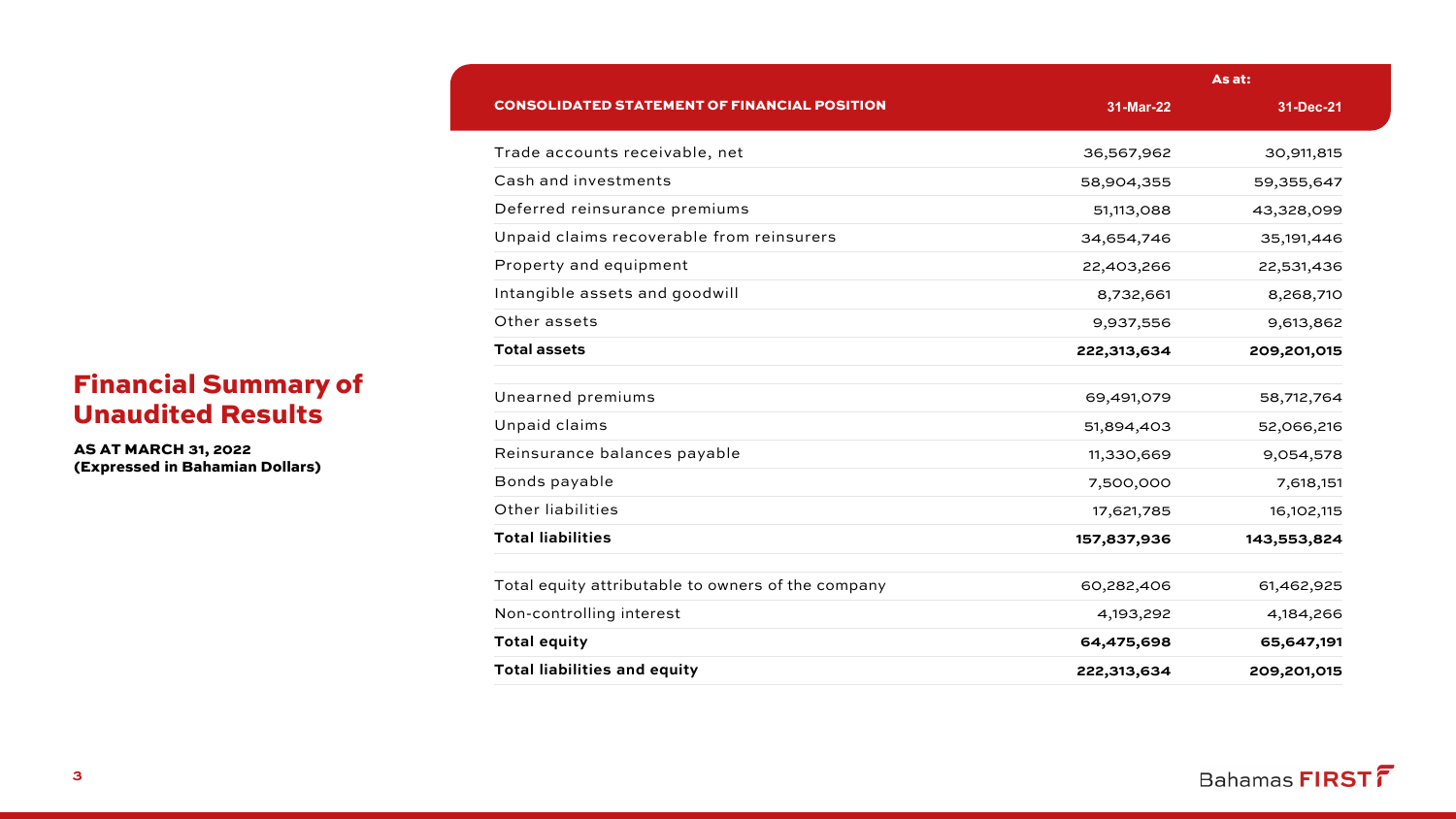| <b>Financial Summary of</b> |  |
|-----------------------------|--|
| <b>Unaudited Results</b>    |  |

AS AT MARCH 31, 2022 (Expressed in Bahamian Dollars)

|                                                     |             | As at:       |
|-----------------------------------------------------|-------------|--------------|
| <b>CONSOLIDATED STATEMENT OF FINANCIAL POSITION</b> | 31-Mar-22   | 31-Dec-21    |
| Trade accounts receivable, net                      | 36,567,962  | 30,911,815   |
| Cash and investments                                | 58,904,355  | 59,355,647   |
| Deferred reinsurance premiums                       | 51,113,088  | 43,328,099   |
| Unpaid claims recoverable from reinsurers           | 34,654,746  | 35, 191, 446 |
| Property and equipment                              | 22,403,266  | 22,531,436   |
| Intangible assets and goodwill                      | 8,732,661   | 8,268,710    |
| Other assets                                        | 9,937,556   | 9,613,862    |
| <b>Total assets</b>                                 | 222,313,634 | 209,201,015  |
| Unearned premiums                                   | 69,491,079  | 58,712,764   |
| Unpaid claims                                       | 51,894,403  | 52,066,216   |
| Reinsurance balances payable                        | 11,330,669  | 9,054,578    |
| Bonds payable                                       | 7,500,000   | 7,618,151    |
| Other liabilities                                   | 17,621,785  | 16, 102, 115 |
| <b>Total liabilities</b>                            | 157,837,936 | 143,553,824  |
| Total equity attributable to owners of the company  | 60,282,406  | 61,462,925   |
| Non-controlling interest                            | 4,193,292   | 4,184,266    |
| <b>Total equity</b>                                 | 64,475,698  | 65,647,191   |
| <b>Total liabilities and equity</b>                 | 222,313,634 | 209,201,015  |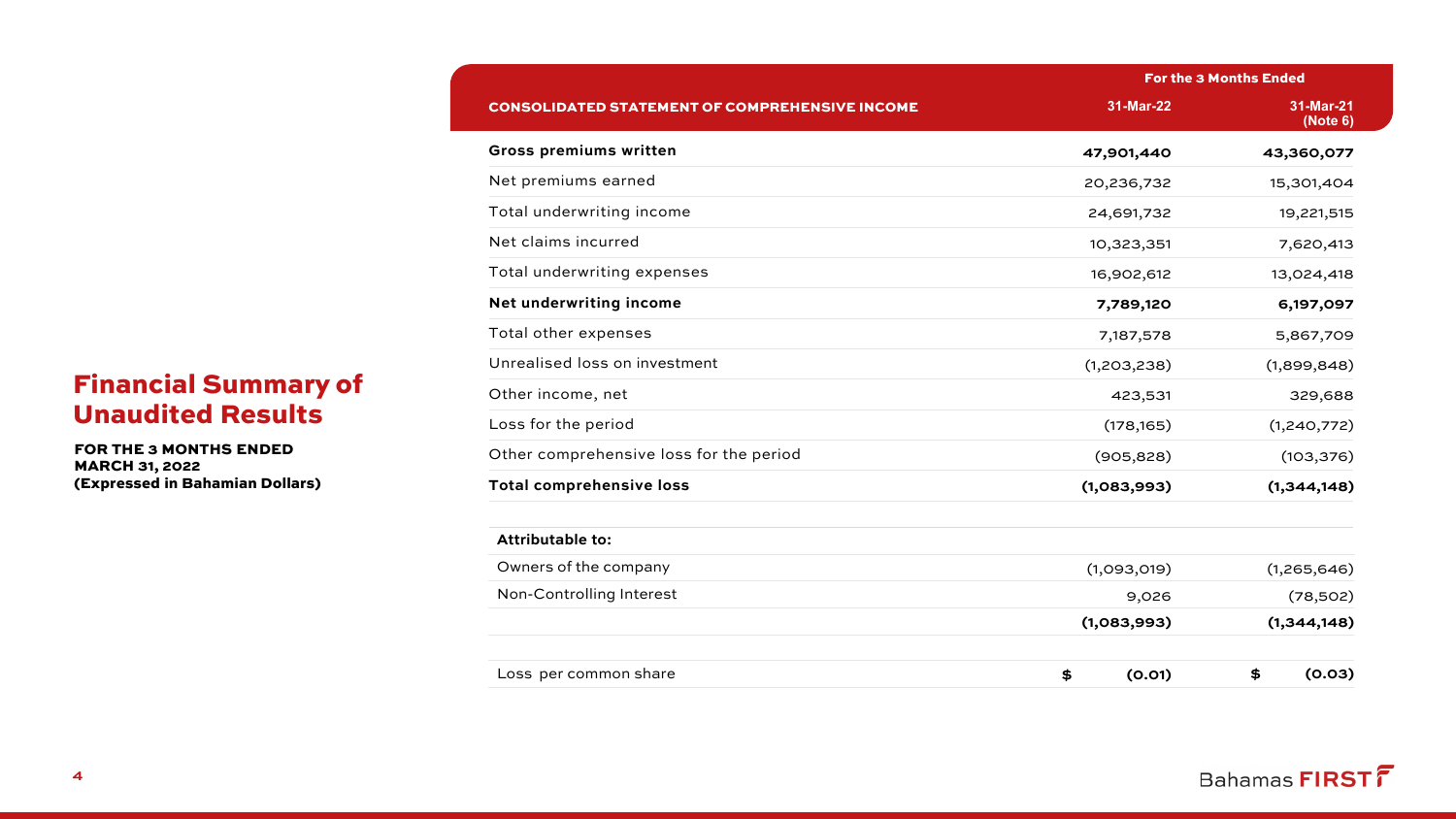|                                                       |              | <b>For the 3 Months Ended</b> |
|-------------------------------------------------------|--------------|-------------------------------|
| <b>CONSOLIDATED STATEMENT OF COMPREHENSIVE INCOME</b> | 31-Mar-22    | 31-Mar-21<br>(Note 6)         |
| <b>Gross premiums written</b>                         | 47,901,440   | 43,360,077                    |
| Net premiums earned                                   | 20,236,732   | 15,301,404                    |
| Total underwriting income                             | 24,691,732   | 19,221,515                    |
| Net claims incurred                                   | 10,323,351   | 7,620,413                     |
| Total underwriting expenses                           | 16,902,612   | 13,024,418                    |
| Net underwriting income                               | 7,789,120    | 6,197,097                     |
| Total other expenses                                  | 7,187,578    | 5,867,709                     |
| Unrealised loss on investment                         | (1,203,238)  | (1,899,848)                   |
| Other income, net                                     | 423,531      | 329,688                       |
| Loss for the period                                   | (178, 165)   | (1,240,772)                   |
| Other comprehensive loss for the period               | (905, 828)   | (103, 376)                    |
| <b>Total comprehensive loss</b>                       | (1,083,993)  | (1,344,148)                   |
| <b>Attributable to:</b>                               |              |                               |
| Owners of the company                                 | (1,093,019)  | (1,265,646)                   |
| Non-Controlling Interest                              | 9,026        | (78,502)                      |
|                                                       | (1,083,993)  | (1,344,148)                   |
| Loss per common share                                 | (0.01)<br>\$ | \$<br>(0.03)                  |

# Financial Summary of Unaudited Results

FOR THE 3 MONTHS ENDED MARCH 31, 2022 (Expressed in Bahamian Dollars)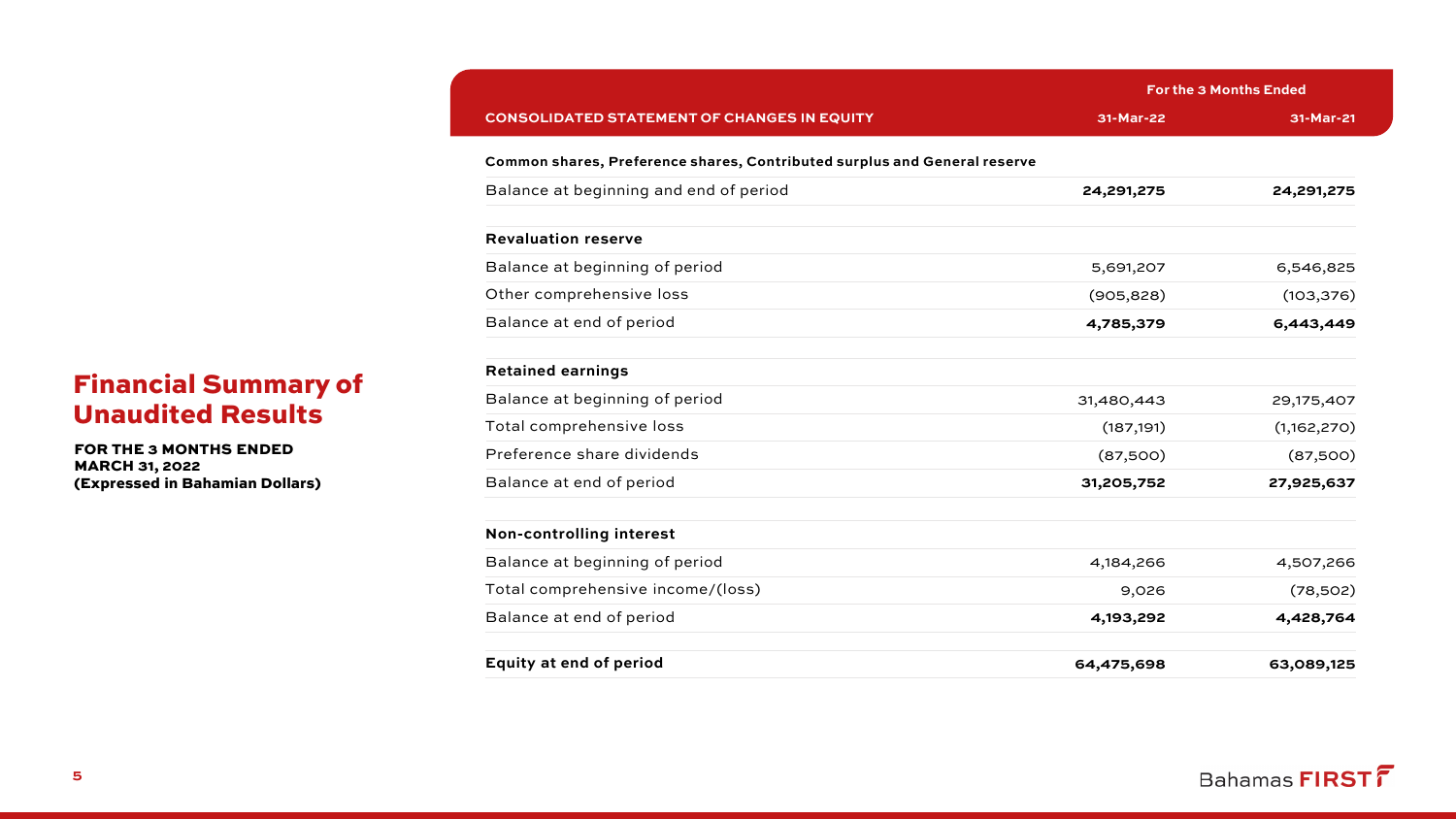|                                                                           | <b>For the 3 Months Ended</b> |             |  |
|---------------------------------------------------------------------------|-------------------------------|-------------|--|
| <b>CONSOLIDATED STATEMENT OF CHANGES IN EQUITY</b>                        | 31-Mar-22                     | 31-Mar-21   |  |
| Common shares, Preference shares, Contributed surplus and General reserve |                               |             |  |
| Balance at beginning and end of period                                    | 24,291,275                    | 24,291,275  |  |
| <b>Revaluation reserve</b>                                                |                               |             |  |
| Balance at beginning of period                                            | 5,691,207                     | 6,546,825   |  |
| Other comprehensive loss                                                  | (905, 828)                    | (103, 376)  |  |
| Balance at end of period                                                  | 4,785,379                     | 6,443,449   |  |
| <b>Retained earnings</b>                                                  |                               |             |  |
| Balance at beginning of period                                            | 31,480,443                    | 29,175,407  |  |
| Total comprehensive loss                                                  | (187, 191)                    | (1,162,270) |  |
| Preference share dividends                                                | (87,500)                      | (87,500)    |  |
| Balance at end of period                                                  | 31,205,752                    | 27,925,637  |  |
| Non-controlling interest                                                  |                               |             |  |
| Balance at beginning of period                                            | 4,184,266                     | 4,507,266   |  |
| Total comprehensive income/(loss)                                         | 9,026                         | (78,502)    |  |
| Balance at end of period                                                  | 4,193,292                     | 4,428,764   |  |
| <b>Equity at end of period</b>                                            | 64,475,698                    | 63,089,125  |  |

### Financial Summary of Unaudited Results

FOR THE 3 MONTHS ENDED MARCH 31, 2022 (Expressed in Bahamian Dollars)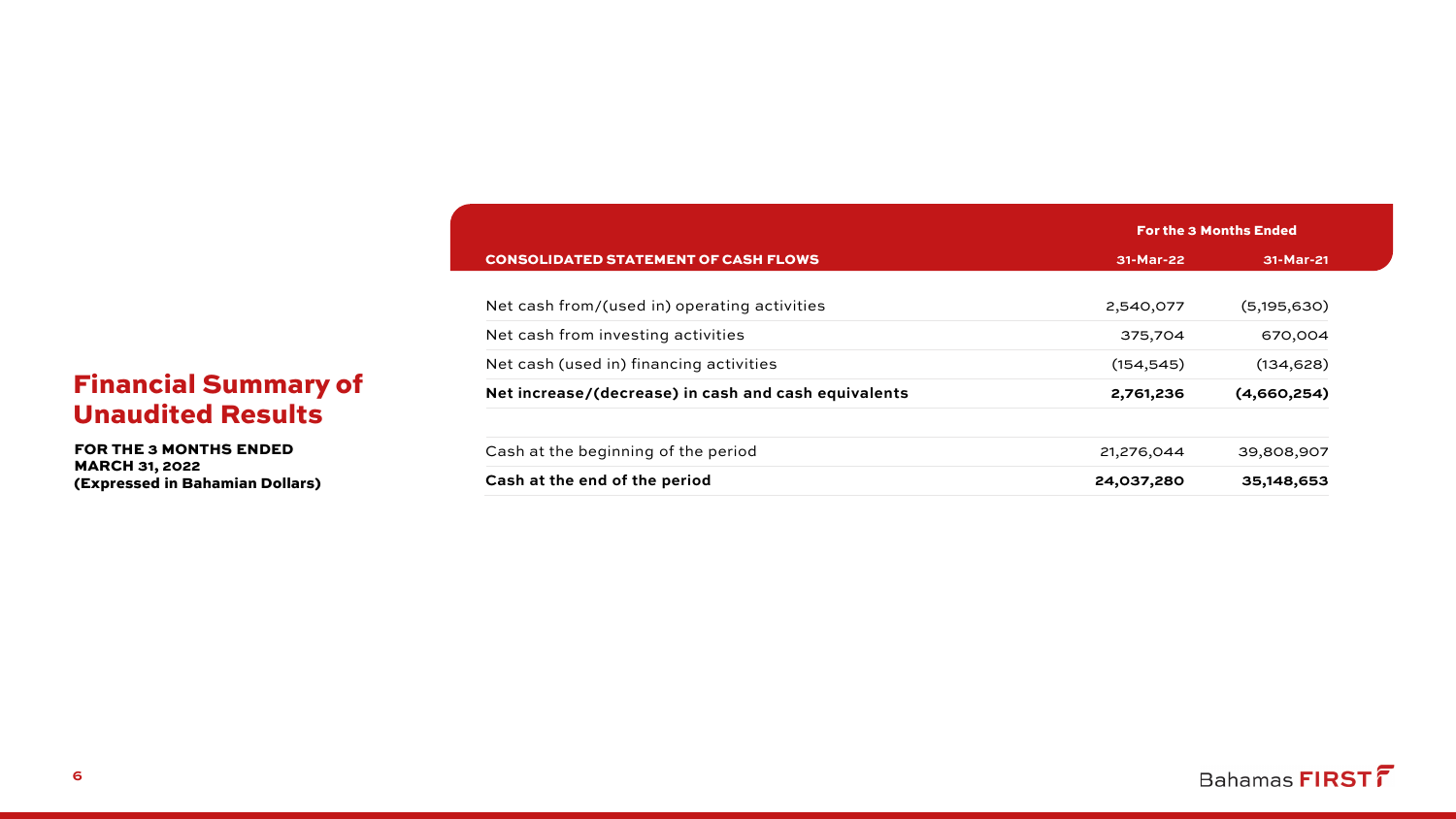|                                                      |            | <b>For the 3 Months Ended</b> |
|------------------------------------------------------|------------|-------------------------------|
| <b>CONSOLIDATED STATEMENT OF CASH FLOWS</b>          | 31-Mar-22  | 31-Mar-21                     |
|                                                      |            |                               |
| Net cash from/(used in) operating activities         | 2,540,077  | (5, 195, 630)                 |
| Net cash from investing activities                   | 375,704    | 670,004                       |
| Net cash (used in) financing activities              | (154, 545) | (134, 628)                    |
| Net increase/(decrease) in cash and cash equivalents | 2,761,236  | (4,660,254)                   |
| Cash at the beginning of the period                  | 21,276,044 | 39,808,907                    |
| Cash at the end of the period                        | 24,037,280 | 35,148,653                    |
|                                                      |            |                               |

# Financial Summary of Unaudited Results

FOR THE 3 MONTHS ENDED MARCH 31, 2022 (Expressed in Bahamian Dollars)

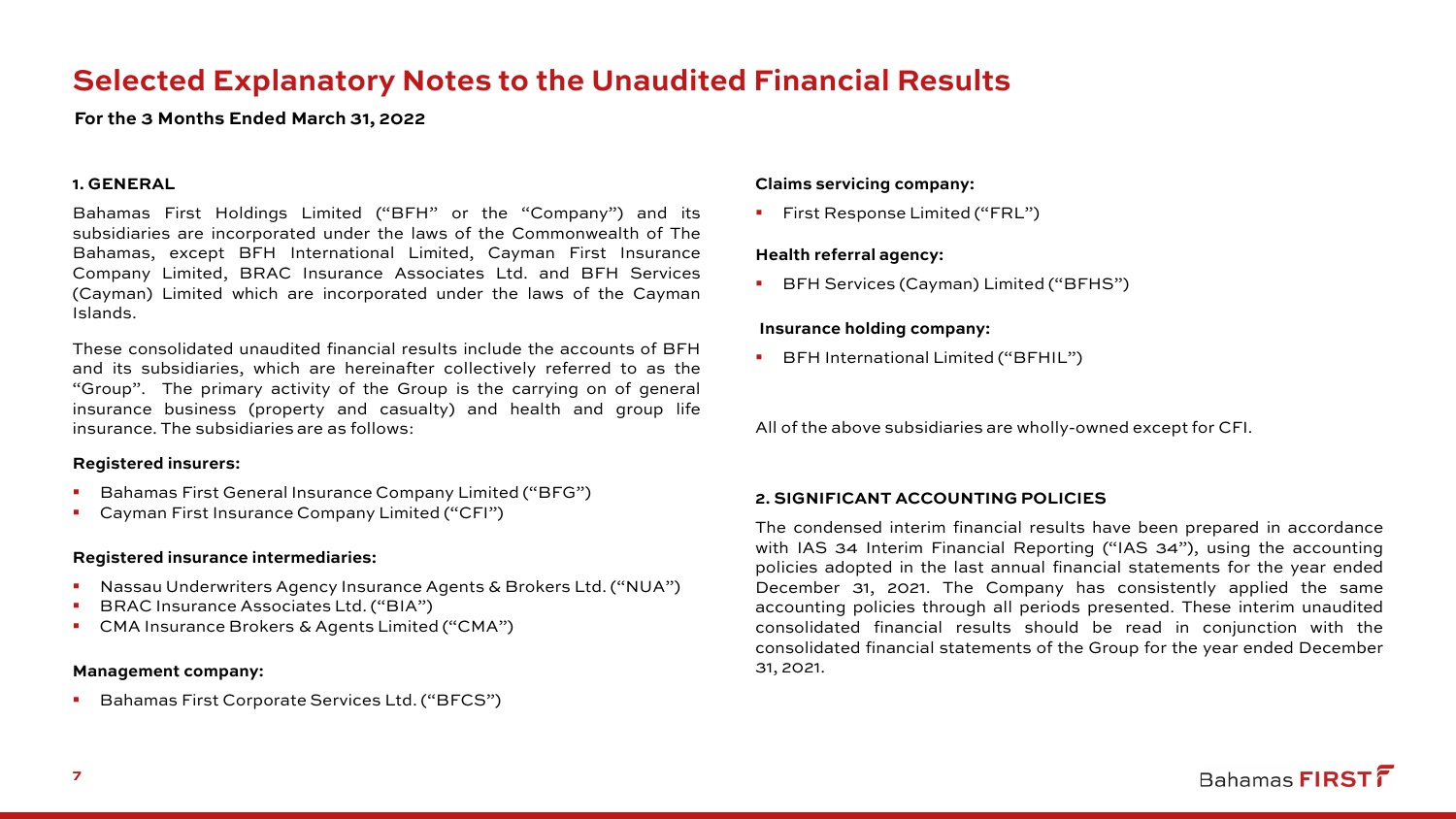# **Selected Explanatory Notes to the Unaudited Financial Results**

**For the 3 Months Ended March 31, 2022**

#### **1. GENERAL**

Bahamas First Holdings Limited ("BFH" or the "Company") and its subsidiaries are incorporated under the laws of the Commonwealth of The Bahamas, except BFH International Limited, Cayman First Insurance Company Limited, BRAC Insurance Associates Ltd. and BFH Services (Cayman) Limited which are incorporated under the laws of the Cayman Islands.

These consolidated unaudited financial results include the accounts of BFH and its subsidiaries, which are hereinafter collectively referred to as the "Group". The primary activity of the Group is the carrying on of general insurance business (property and casualty) and health and group life insurance. The subsidiaries are as follows:

#### **Registered insurers:**

- Bahamas First General Insurance Company Limited ("BFG")
- Cayman First Insurance Company Limited ("CFI")

#### **Registered insurance intermediaries:**

- Nassau Underwriters Agency Insurance Agents & Brokers Ltd. ("NUA")
- BRAC Insurance Associates Ltd. ("BIA")
- CMA Insurance Brokers & Agents Limited ("CMA")

#### **Management company:**

Bahamas First Corporate Services Ltd. ("BFCS")

#### **Claims servicing company:**

**First Response Limited ("FRL")** 

#### **Health referral agency:**

BFH Services (Cayman) Limited ("BFHS")

#### **Insurance holding company:**

**BFH International Limited ("BFHIL")** 

All of the above subsidiaries are wholly-owned except for CFI.

#### **2. SIGNIFICANT ACCOUNTING POLICIES**

The condensed interim financial results have been prepared in accordance with IAS 34 Interim Financial Reporting ("IAS 34"), using the accounting policies adopted in the last annual financial statements for the year ended December 31, 2021. The Company has consistently applied the same accounting policies through all periods presented. These interim unaudited consolidated financial results should be read in conjunction with the consolidated financial statements of the Group for the year ended December 31, 2021.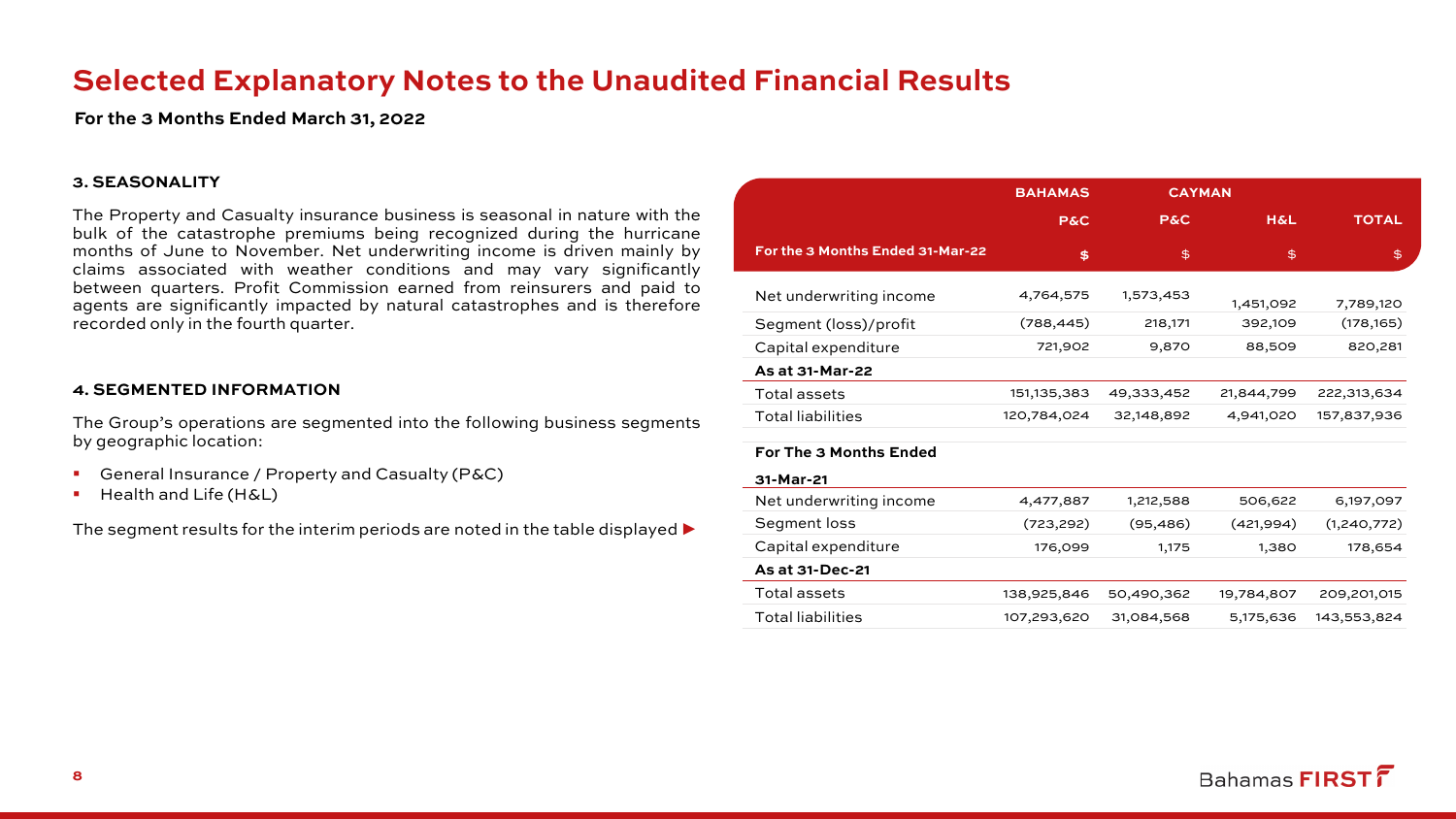# **Selected Explanatory Notes to the Unaudited Financial Results**

**For the 3 Months Ended March 31, 2022**

#### **3. SEASONALITY**

The Property and Casualty insurance business is seasonal in nature with the bulk of the catastrophe premiums being recognized during the hurricane months of June to November. Net underwriting income is driven mainly by claims associated with weather conditions and may vary significantly between quarters. Profit Commission earned from reinsurers and paid to agents are significantly impacted by natural catastrophes and is therefore recorded only in the fourth quarter.

#### **4. SEGMENTED INFORMATION**

The Group's operations are segmented into the following business segments by geographic location:

- General Insurance / Property and Casualty (P&C)
- **Health and Life (H&L)**

The segment results for the interim periods are noted in the table displayed  $\blacktriangleright$ 

|                                  | <b>BAHAMAS</b> | <b>CAYMAN</b>  |                |              |
|----------------------------------|----------------|----------------|----------------|--------------|
|                                  | <b>P&amp;C</b> | <b>P&amp;C</b> | <b>H&amp;L</b> | <b>TOTAL</b> |
| For the 3 Months Ended 31-Mar-22 | \$             | \$             | \$             | \$           |
| Net underwriting income          | 4,764,575      | 1,573,453      |                |              |
|                                  |                |                | 1,451,092      | 7,789,120    |
| Segment (loss)/profit            | (788, 445)     | 218,171        | 392,109        | (178, 165)   |
| Capital expenditure              | 721,902        | 9,870          | 88,509         | 820,281      |
| As at 31-Mar-22                  |                |                |                |              |
| Total assets                     | 151,135,383    | 49,333,452     | 21,844,799     | 222,313,634  |
| <b>Total liabilities</b>         | 120,784,024    | 32,148,892     | 4,941,020      | 157,837,936  |
| For The 3 Months Ended           |                |                |                |              |
| 31-Mar-21                        |                |                |                |              |
| Net underwriting income          | 4,477,887      | 1,212,588      | 506,622        | 6,197,097    |
| Segment loss                     | (723, 292)     | (95, 486)      | (421,994)      | (1,240,772)  |
| Capital expenditure              | 176,099        | 1,175          | 1,380          | 178,654      |
| As at 31-Dec-21                  |                |                |                |              |
| Total assets                     | 138,925,846    | 50,490,362     | 19,784,807     | 209,201,015  |
| <b>Total liabilities</b>         | 107,293,620    | 31,084,568     | 5,175,636      | 143,553,824  |
|                                  |                |                |                |              |

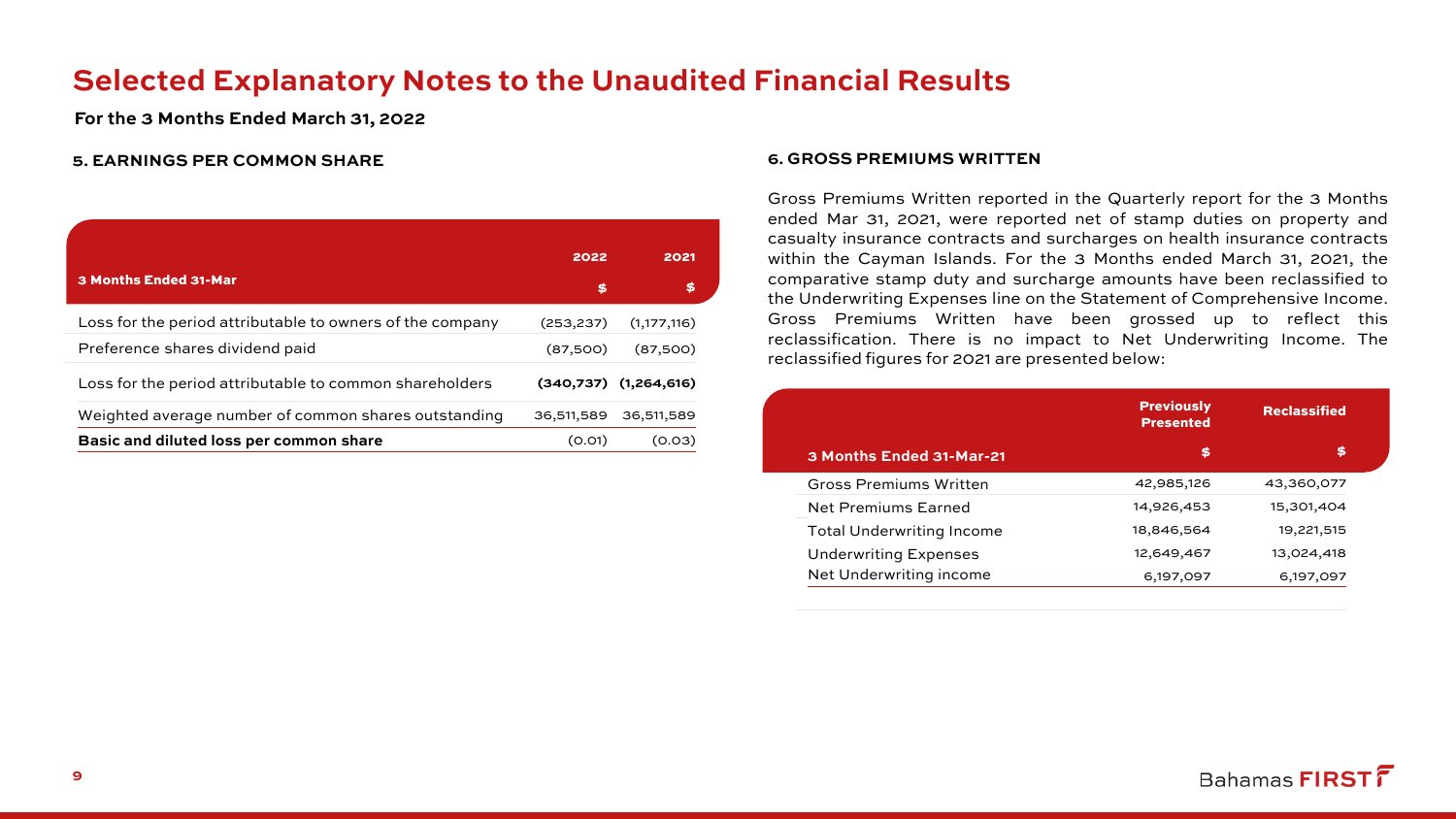# **Selected Explanatory Notes to the Unaudited Financial Results**

**For the 3 Months Ended March 31, 2022**

#### **5. EARNINGS PER COMMON SHARE**

|                                                           | 2022       | 2021                      |
|-----------------------------------------------------------|------------|---------------------------|
| 3 Months Ended 31-Mar                                     | \$         | S                         |
| Loss for the period attributable to owners of the company | (253,237)  | (1, 177, 116)             |
| Preference shares dividend paid                           | (87,500)   | (87,500)                  |
| Loss for the period attributable to common shareholders   |            | $(340,737)$ $(1,264,616)$ |
| Weighted average number of common shares outstanding      | 36,511,589 | 36,511,589                |
| Basic and diluted loss per common share                   | (0.01)     | (0.03)                    |

#### **6. GROSS PREMIUMS WRITTEN**

Gross Premiums Written reported in the Quarterly report for the 3 Months ended Mar 31, 2021, were reported net of stamp duties on property and casualty insurance contracts and surcharges on health insurance contracts within the Cayman Islands. For the 3 Months ended March 31, 2021, the comparative stamp duty and surcharge amounts have been reclassified to the Underwriting Expenses line on the Statement of Comprehensive Income. Gross Premiums Written have been grossed up to reflect this reclassification. There is no impact to Net Underwriting Income. The reclassified figures for 2021 are presented below:

|                                  | <b>Previously</b><br><b>Presented</b> | <b>Reclassified</b> |
|----------------------------------|---------------------------------------|---------------------|
| 3 Months Ended 31-Mar-21         | \$                                    | \$                  |
| <b>Gross Premiums Written</b>    | 42,985,126                            | 43,360,077          |
| <b>Net Premiums Earned</b>       | 14,926,453                            | 15,301,404          |
| <b>Total Underwriting Income</b> | 18,846,564                            | 19,221,515          |
| <b>Underwriting Expenses</b>     | 12,649,467                            | 13,024,418          |
| Net Underwriting income          | 6,197,097                             | 6, 197, 097         |